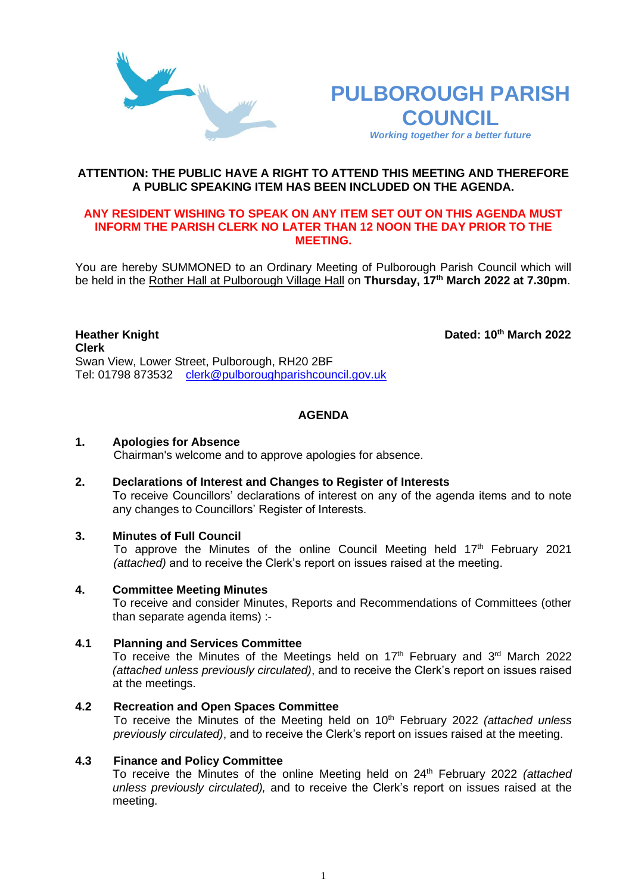



**th March 2022**

**ATTENTION: THE PUBLIC HAVE A RIGHT TO ATTEND THIS MEETING AND THEREFORE A PUBLIC SPEAKING ITEM HAS BEEN INCLUDED ON THE AGENDA.**

#### **ANY RESIDENT WISHING TO SPEAK ON ANY ITEM SET OUT ON THIS AGENDA MUST INFORM THE PARISH CLERK NO LATER THAN 12 NOON THE DAY PRIOR TO THE MEETING.**

You are hereby SUMMONED to an Ordinary Meeting of Pulborough Parish Council which will be held in the Rother Hall at Pulborough Village Hall on **Thursday, 17 th March 2022 at 7.30pm**.

#### **Heather Knight Clerk**  Swan View, Lower Street, Pulborough, RH20 2BF Tel: 01798 873532 [clerk@pulboroughparishcouncil.gov.uk](mailto:clerk@pulboroughparishcouncil.gov.uk)

# **AGENDA**

### **1. Apologies for Absence**

Chairman's welcome and to approve apologies for absence.

**2. Declarations of Interest and Changes to Register of Interests**

To receive Councillors' declarations of interest on any of the agenda items and to note any changes to Councillors' Register of Interests.

## **3. Minutes of Full Council**

To approve the Minutes of the online Council Meeting held 17<sup>th</sup> February 2021 *(attached)* and to receive the Clerk's report on issues raised at the meeting.

#### **4. Committee Meeting Minutes**

To receive and consider Minutes, Reports and Recommendations of Committees (other than separate agenda items) :-

#### **4.1 Planning and Services Committee**

To receive the Minutes of the Meetings held on 17<sup>th</sup> February and 3<sup>rd</sup> March 2022 *(attached unless previously circulated)*, and to receive the Clerk's report on issues raised at the meetings.

#### **4.2 Recreation and Open Spaces Committee**

To receive the Minutes of the Meeting held on 10th February 2022 *(attached unless previously circulated)*, and to receive the Clerk's report on issues raised at the meeting.

### **4.3 Finance and Policy Committee**

To receive the Minutes of the online Meeting held on 24th February 2022 *(attached unless previously circulated),* and to receive the Clerk's report on issues raised at the meeting.